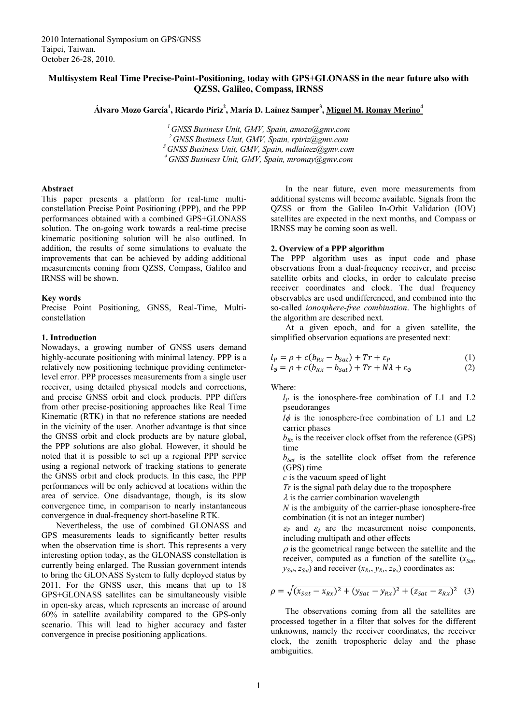# **Multisystem Real Time Precise-Point-Positioning, today with GPS+GLONASS in the near future also with QZSS, Galileo, Compass, IRNSS**

Álvaro Mozo García<sup>1</sup>, Ricardo Píriz<sup>2</sup>, María D. Laínez Samper<sup>3</sup>, <u>Miguel M. Romay Merino<sup>4</sup></u>

*1 GNSS Business Unit, GMV, Spain, amozo@gmv.com 2 GNSS Business Unit, GMV, Spain, rpiriz@gmv.com 3 GNSS Business Unit, GMV, Spain, mdlainez@gmv.com 4 GNSS Business Unit, GMV, Spain, mromay@gmv.com*

#### **Abstract**

This paper presents a platform for real-time multiconstellation Precise Point Positioning (PPP), and the PPP performances obtained with a combined GPS+GLONASS solution. The on-going work towards a real-time precise kinematic positioning solution will be also outlined. In addition, the results of some simulations to evaluate the improvements that can be achieved by adding additional measurements coming from QZSS, Compass, Galileo and IRNSS will be shown.

### **Key words**

Precise Point Positioning, GNSS, Real-Time, Multiconstellation

### **1. Introduction**

Nowadays, a growing number of GNSS users demand highly-accurate positioning with minimal latency. PPP is a relatively new positioning technique providing centimeterlevel error. PPP processes measurements from a single user receiver, using detailed physical models and corrections, and precise GNSS orbit and clock products. PPP differs from other precise-positioning approaches like Real Time Kinematic (RTK) in that no reference stations are needed in the vicinity of the user. Another advantage is that since the GNSS orbit and clock products are by nature global, the PPP solutions are also global. However, it should be noted that it is possible to set up a regional PPP service using a regional network of tracking stations to generate the GNSS orbit and clock products. In this case, the PPP performances will be only achieved at locations within the area of service. One disadvantage, though, is its slow convergence time, in comparison to nearly instantaneous convergence in dual-frequency short-baseline RTK.

Nevertheless, the use of combined GLONASS and GPS measurements leads to significantly better results when the observation time is short. This represents a very interesting option today, as the GLONASS constellation is currently being enlarged. The Russian government intends to bring the GLONASS System to fully deployed status by 2011. For the GNSS user, this means that up to 18 GPS+GLONASS satellites can be simultaneously visible in open-sky areas, which represents an increase of around 60% in satellite availability compared to the GPS-only scenario. This will lead to higher accuracy and faster convergence in precise positioning applications.

In the near future, even more measurements from additional systems will become available. Signals from the QZSS or from the Galileo In-Orbit Validation (IOV) satellites are expected in the next months, and Compass or IRNSS may be coming soon as well.

### **2. Overview of a PPP algorithm**

The PPP algorithm uses as input code and phase observations from a dual-frequency receiver, and precise satellite orbits and clocks, in order to calculate precise receiver coordinates and clock. The dual frequency observables are used undifferenced, and combined into the so-called *ionosphere-free combination*. The highlights of the algorithm are described next.

At a given epoch, and for a given satellite, the simplified observation equations are presented next:

$$
l_P = \rho + c(b_{Rx} - b_{Sat}) + Tr + \varepsilon_P \tag{1}
$$

$$
l_{\emptyset} = \rho + c(b_{Rx} - b_{Sat}) + Tr + N\lambda + \varepsilon_{\emptyset}
$$
 (2)

Where:

 $l_p$  is the ionosphere-free combination of L1 and L2 pseudoranges

 $l\phi$  is the ionosphere-free combination of L1 and L2 carrier phases

 $b_{Rx}$  is the receiver clock offset from the reference (GPS) time

 $b_{Sat}$  is the satellite clock offset from the reference (GPS) time

*c* is the vacuum speed of light

*Tr* is the signal path delay due to the troposphere

 $\lambda$  is the carrier combination wavelength

*N* is the ambiguity of the carrier-phase ionosphere-free combination (it is not an integer number)

 $\varepsilon_P$  and  $\varepsilon_\phi$  are the measurement noise components, including multipath and other effects

 $\rho$  is the geometrical range between the satellite and the receiver, computed as a function of the satellite ( $x_{Sat}$ ,  $y_{\text{Sat}}$ ,  $z_{\text{Sat}}$ ) and receiver  $(x_{\text{Rx}}, y_{\text{Rx}}, z_{\text{Rx}})$  coordinates as:

$$
\rho = \sqrt{(x_{Sat} - x_{Rx})^2 + (y_{Sat} - y_{Rx})^2 + (z_{Sat} - z_{Rx})^2}
$$
 (3)

The observations coming from all the satellites are processed together in a filter that solves for the different unknowns, namely the receiver coordinates, the receiver clock, the zenith tropospheric delay and the phase ambiguities.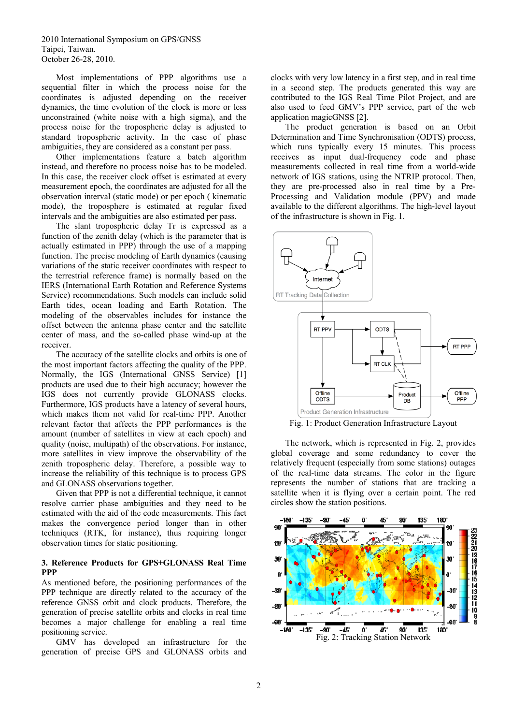Most implementations of PPP algorithms use a sequential filter in which the process noise for the coordinates is adjusted depending on the receiver dynamics, the time evolution of the clock is more or less unconstrained (white noise with a high sigma), and the process noise for the tropospheric delay is adjusted to standard tropospheric activity. In the case of phase ambiguities, they are considered as a constant per pass.

Other implementations feature a batch algorithm instead, and therefore no process noise has to be modeled. In this case, the receiver clock offset is estimated at every measurement epoch, the coordinates are adjusted for all the observation interval (static mode) or per epoch ( kinematic mode), the troposphere is estimated at regular fixed intervals and the ambiguities are also estimated per pass.

The slant tropospheric delay Tr is expressed as a function of the zenith delay (which is the parameter that is actually estimated in PPP) through the use of a mapping function. The precise modeling of Earth dynamics (causing variations of the static receiver coordinates with respect to the terrestrial reference frame) is normally based on the IERS (International Earth Rotation and Reference Systems Service) recommendations. Such models can include solid Earth tides, ocean loading and Earth Rotation. The modeling of the observables includes for instance the offset between the antenna phase center and the satellite center of mass, and the so-called phase wind-up at the receiver.

<span id="page-1-0"></span>The accuracy of the satellite clocks and orbits is one of the most important factors affecting the quality of the PPP. Normally, the IGS (International GNSS Service) [1] products are used due to their high accuracy; however the IGS does not currently provide GLONASS clocks. Furthermore, IGS products have a latency of several hours, which makes them not valid for real-time PPP. Another relevant factor that affects the PPP performances is the amount (number of satellites in view at each epoch) and quality (noise, multipath) of the observations. For instance, more satellites in view improve the observability of the zenith tropospheric delay. Therefore, a possible way to increase the reliability of this technique is to process GPS and GLONASS observations together.

Given that PPP is not a differential technique, it cannot resolve carrier phase ambiguities and they need to be estimated with the aid of the code measurements. This fact makes the convergence period longer than in other techniques (RTK, for instance), thus requiring longer observation times for static positioning.

# **3. Reference Products for GPS+GLONASS Real Time PPP**

As mentioned before, the positioning performances of the PPP technique are directly related to the accuracy of the reference GNSS orbit and clock products. Therefore, the generation of precise satellite orbits and clocks in real time becomes a major challenge for enabling a real time positioning service.

<span id="page-1-1"></span>GMV has developed an infrastructure for the generation of precise GPS and GLONASS orbits and clocks with very low latency in a first step, and in real time in a second step. The products generated this way are contributed to the IGS Real Time Pilot Project, and are also used to feed GMV's PPP service, part of the web application magicGNSS [2].

The product generation is based on an Orbit Determination and Time Synchronisation (ODTS) process, which runs typically every 15 minutes. This process receives as input dual-frequency code and phase measurements collected in real time from a world-wide network of IGS stations, using the NTRIP protocol. Then, they are pre-processed also in real time by a Pre-Processing and Validation module (PPV) and made available to the different algorithms. The high-level layout of the infrastructure is shown in [Fig. 1.](#page-1-0)



Fig. 1: Product Generation Infrastructure Layout

The network, which is represented in [Fig. 2](#page-1-1), provides global coverage and some redundancy to cover the relatively frequent (especially from some stations) outages of the real-time data streams. The color in the figure represents the number of stations that are tracking a satellite when it is flying over a certain point. The red circles show the station positions.

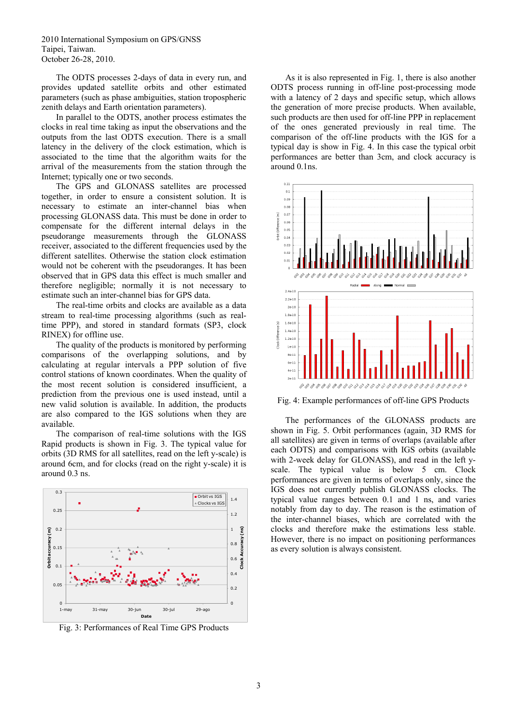The ODTS processes 2-days of data in every run, and provides updated satellite orbits and other estimated parameters (such as phase ambiguities, station tropospheric zenith delays and Earth orientation parameters).

In parallel to the ODTS, another process estimates the clocks in real time taking as input the observations and the outputs from the last ODTS execution. There is a small latency in the delivery of the clock estimation, which is associated to the time that the algorithm waits for the arrival of the measurements from the station through the Internet; typically one or two seconds.

The GPS and GLONASS satellites are processed together, in order to ensure a consistent solution. It is necessary to estimate an inter-channel bias when processing GLONASS data. This must be done in order to compensate for the different internal delays in the pseudorange measurements through the GLONASS receiver, associated to the different frequencies used by the different satellites. Otherwise the station clock estimation would not be coherent with the pseudoranges. It has been observed that in GPS data this effect is much smaller and therefore negligible; normally it is not necessary to estimate such an inter-channel bias for GPS data.

The real-time orbits and clocks are available as a data stream to real-time processing algorithms (such as realtime PPP), and stored in standard formats (SP3, clock RINEX) for offline use.

The quality of the products is monitored by performing comparisons of the overlapping solutions, and by calculating at regular intervals a PPP solution of five control stations of known coordinates. When the quality of the most recent solution is considered insufficient, a prediction from the previous one is used instead, until a new valid solution is available. In addition, the products are also compared to the IGS solutions when they are available.

<span id="page-2-1"></span>The comparison of real-time solutions with the IGS Rapid products is shown in [Fig. 3.](#page-2-0) The typical value for orbits (3D RMS for all satellites, read on the left y-scale) is around 6cm, and for clocks (read on the right y-scale) it is around 0.3 ns.



<span id="page-2-0"></span>Fig. 3: Performances of Real Time GPS Products

As it is also represented in [Fig. 1,](#page-1-0) there is also another ODTS process running in off-line post-processing mode with a latency of 2 days and specific setup, which allows the generation of more precise products. When available, such products are then used for off-line PPP in replacement of the ones generated previously in real time. The comparison of the off-line products with the IGS for a typical day is show in [Fig. 4](#page-2-1). In this case the typical orbit performances are better than 3cm, and clock accuracy is around 0.1ns.



Fig. 4: Example performances of off-line GPS Products

The performances of the GLONASS products are shown in [Fig. 5](#page-3-0). Orbit performances (again, 3D RMS for all satellites) are given in terms of overlaps (available after each ODTS) and comparisons with IGS orbits (available with 2-week delay for GLONASS), and read in the left yscale. The typical value is below 5 cm. Clock performances are given in terms of overlaps only, since the IGS does not currently publish GLONASS clocks. The typical value ranges between 0.1 and 1 ns, and varies notably from day to day. The reason is the estimation of the inter-channel biases, which are correlated with the clocks and therefore make the estimations less stable. However, there is no impact on positioning performances as every solution is always consistent.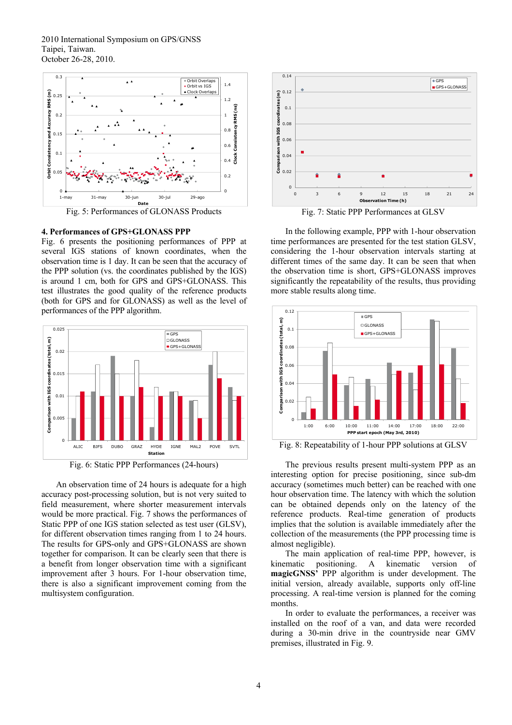

Fig. 5: Performances of GLONASS Products

#### <span id="page-3-0"></span>**4. Performances of GPS+GLONASS PPP**

[Fig. 6](#page-3-1) presents the positioning performances of PPP at several IGS stations of known coordinates, when the observation time is 1 day. It can be seen that the accuracy of the PPP solution (vs. the coordinates published by the IGS) is around 1 cm, both for GPS and GPS+GLONASS. This test illustrates the good quality of the reference products (both for GPS and for GLONASS) as well as the level of performances of the PPP algorithm.



Fig. 6: Static PPP Performances (24-hours)

<span id="page-3-1"></span>An observation time of 24 hours is adequate for a high accuracy post-processing solution, but is not very suited to field measurement, where shorter measurement intervals would be more practical. [Fig. 7](#page-3-0) shows the performances of Static PPP of one IGS station selected as test user (GLSV), for different observation times ranging from 1 to 24 hours. The results for GPS-only and GPS+GLONASS are shown together for comparison. It can be clearly seen that there is a benefit from longer observation time with a significant improvement after 3 hours. For 1-hour observation time, there is also a significant improvement coming from the multisystem configuration.



Fig. 7: Static PPP Performances at GLSV

In the following example, PPP with 1-hour observation time performances are presented for the test station GLSV, considering the 1-hour observation intervals starting at different times of the same day. It can be seen that when the observation time is short, GPS+GLONASS improves significantly the repeatability of the results, thus providing more stable results along time.



Fig. 8: Repeatability of 1-hour PPP solutions at GLSV

The previous results present multi-system PPP as an interesting option for precise positioning, since sub-dm accuracy (sometimes much better) can be reached with one hour observation time. The latency with which the solution can be obtained depends only on the latency of the reference products. Real-time generation of products implies that the solution is available immediately after the collection of the measurements (the PPP processing time is almost negligible).

The main application of real-time PPP, however, is kinematic positioning. A kinematic version of **magicGNSS'** PPP algorithm is under development. The initial version, already available, supports only off-line processing. A real-time version is planned for the coming months.

In order to evaluate the performances, a receiver was installed on the roof of a van, and data were recorded during a 30-min drive in the countryside near GMV premises, illustrated in [Fig. 9](#page-4-0).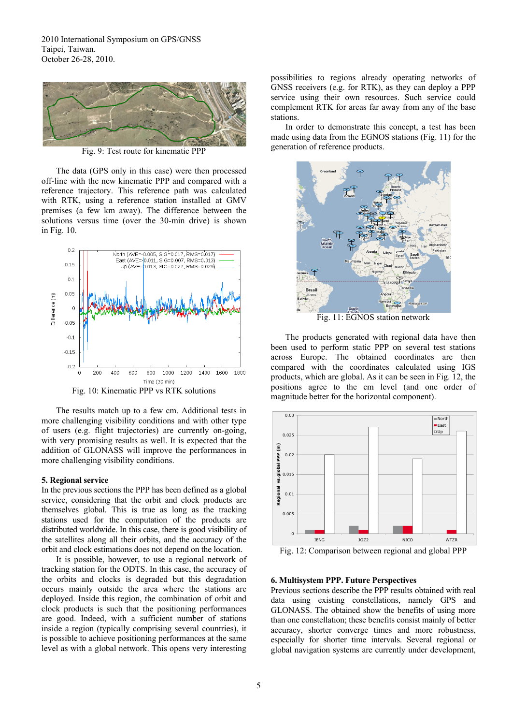

Fig. 9: Test route for kinematic PPP

<span id="page-4-0"></span>The data (GPS only in this case) were then processed off-line with the new kinematic PPP and compared with a reference trajectory. This reference path was calculated with RTK, using a reference station installed at GMV premises (a few km away). The difference between the solutions versus time (over the 30-min drive) is shown in [Fig. 10.](#page-4-1)

<span id="page-4-2"></span>

Fig. 10: Kinematic PPP vs RTK solutions

<span id="page-4-1"></span>The results match up to a few cm. Additional tests in more challenging visibility conditions and with other type of users (e.g. flight trajectories) are currently on-going, with very promising results as well. It is expected that the addition of GLONASS will improve the performances in more challenging visibility conditions.

#### **5. Regional service**

In the previous sections the PPP has been defined as a global service, considering that the orbit and clock products are themselves global. This is true as long as the tracking stations used for the computation of the products are distributed worldwide. In this case, there is good visibility of the satellites along all their orbits, and the accuracy of the orbit and clock estimations does not depend on the location.

<span id="page-4-3"></span>It is possible, however, to use a regional network of tracking station for the ODTS. In this case, the accuracy of the orbits and clocks is degraded but this degradation occurs mainly outside the area where the stations are deployed. Inside this region, the combination of orbit and clock products is such that the positioning performances are good. Indeed, with a sufficient number of stations inside a region (typically comprising several countries), it is possible to achieve positioning performances at the same level as with a global network. This opens very interesting possibilities to regions already operating networks of GNSS receivers (e.g. for RTK), as they can deploy a PPP service using their own resources. Such service could complement RTK for areas far away from any of the base stations.

In order to demonstrate this concept, a test has been made using data from the EGNOS stations ([Fig. 11](#page-4-2)) for the generation of reference products.



Fig. 11: EGNOS station network

The products generated with regional data have then been used to perform static PPP on several test stations across Europe. The obtained coordinates are then compared with the coordinates calculated using IGS products, which are global. As it can be seen in [Fig. 12,](#page-4-3) the positions agree to the cm level (and one order of magnitude better for the horizontal component).



Fig. 12: Comparison between regional and global PPP

#### **6. Multisystem PPP. Future Perspectives**

Previous sections describe the PPP results obtained with real data using existing constellations, namely GPS and GLONASS. The obtained show the benefits of using more than one constellation; these benefits consist mainly of better accuracy, shorter converge times and more robustness, especially for shorter time intervals. Several regional or global navigation systems are currently under development,